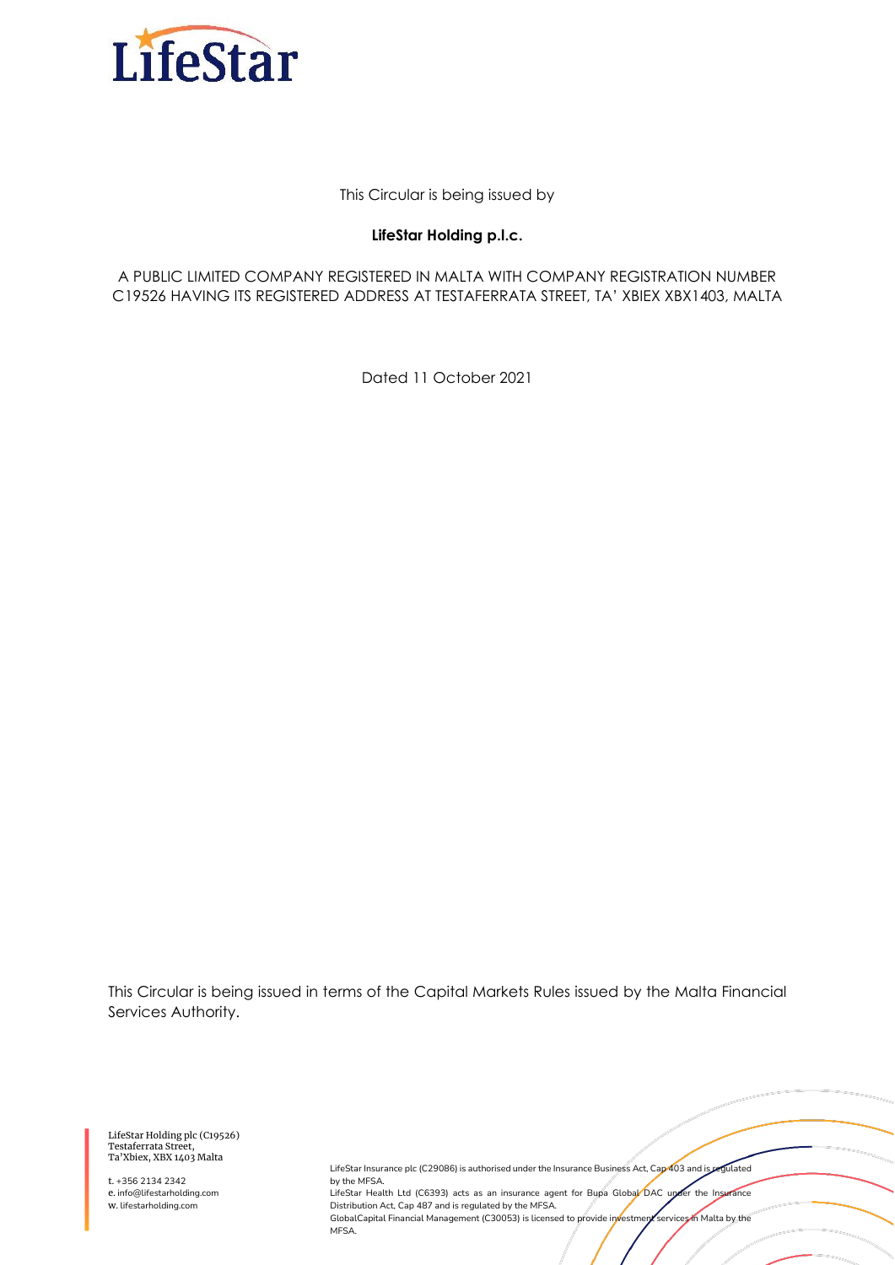

This Circular is being issued by

#### **LifeStar Holding p.l.c.**

A PUBLIC LIMITED COMPANY REGISTERED IN MALTA WITH COMPANY REGISTRATION NUMBER C19526 HAVING ITS REGISTERED ADDRESS AT TESTAFERRATA STREET, TA' XBIEX XBX1403, MALTA

Dated 11 October 2021

This Circular is being issued in terms of the Capital Markets Rules issued by the Malta Financial Services Authority.

LifeStar Holding plc (C19526) Testaferrata Street, Ta'Xbiex, XBX 1403 Malta

t. +356 2134 2342 e. info@lifestarholding.com w. lifestarholding.com

LifeStar Insurance plc (C29086) is authorised under the Insurance Business Act, Cap 403 and is regulated by the MFSA. LifeStar Health Ltd (C6393) acts as an insurance agent for Bupa Global DAC under the Insurance Distribution Act, Cap 487 and is regulated by the MFSA. GlobalCapital Financial Management (C30053) is licensed to provide investment services in Malta by the MFSA.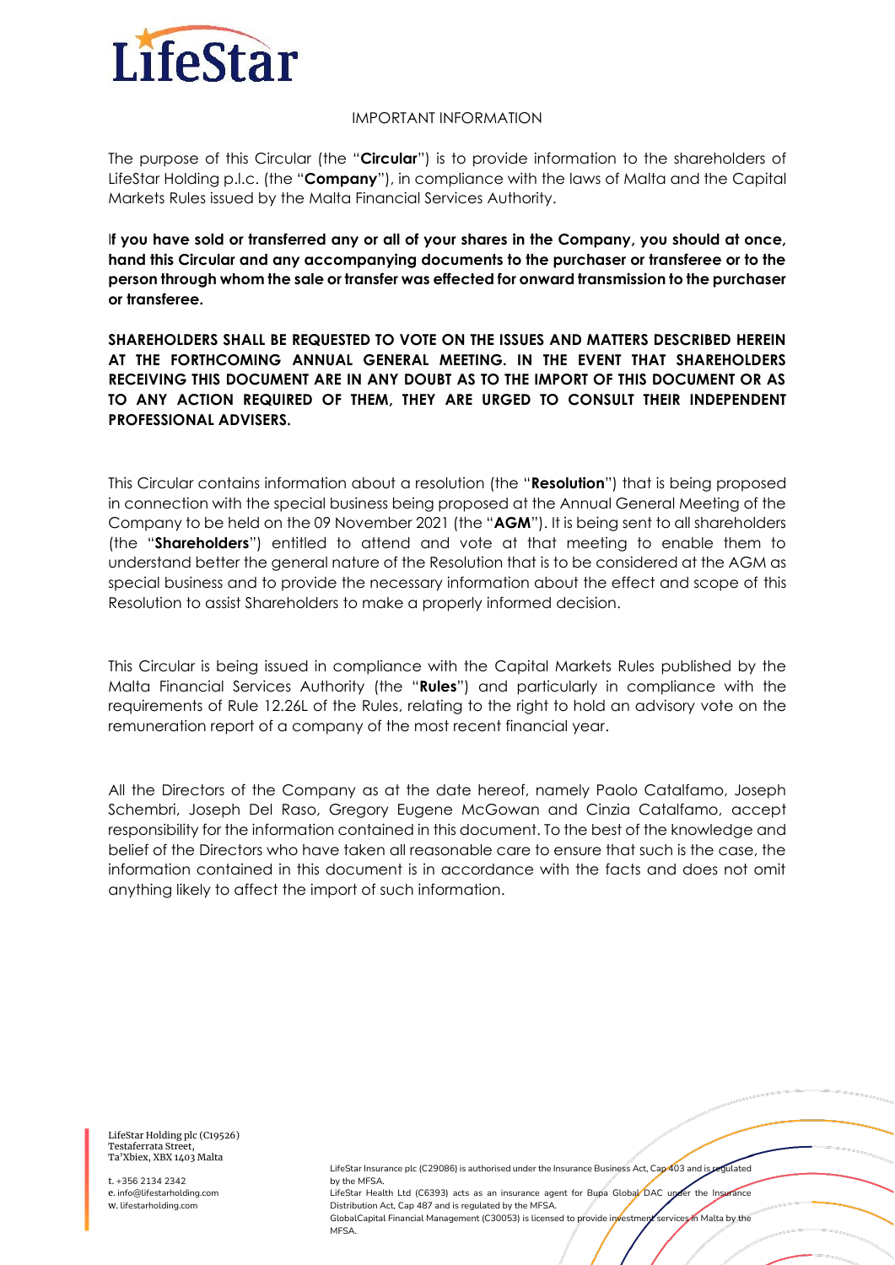

#### IMPORTANT INFORMATION

The purpose of this Circular (the "**Circular**") is to provide information to the shareholders of LifeStar Holding p.l.c. (the "**Company**"), in compliance with the laws of Malta and the Capital Markets Rules issued by the Malta Financial Services Authority.

I**f you have sold or transferred any or all of your shares in the Company, you should at once, hand this Circular and any accompanying documents to the purchaser or transferee or to the person through whom the sale or transfer was effected for onward transmission to the purchaser or transferee.**

**SHAREHOLDERS SHALL BE REQUESTED TO VOTE ON THE ISSUES AND MATTERS DESCRIBED HEREIN AT THE FORTHCOMING ANNUAL GENERAL MEETING. IN THE EVENT THAT SHAREHOLDERS RECEIVING THIS DOCUMENT ARE IN ANY DOUBT AS TO THE IMPORT OF THIS DOCUMENT OR AS TO ANY ACTION REQUIRED OF THEM, THEY ARE URGED TO CONSULT THEIR INDEPENDENT PROFESSIONAL ADVISERS.**

This Circular contains information about a resolution (the "**Resolution**") that is being proposed in connection with the special business being proposed at the Annual General Meeting of the Company to be held on the 09 November 2021 (the "**AGM**"). It is being sent to all shareholders (the "**Shareholders**") entitled to attend and vote at that meeting to enable them to understand better the general nature of the Resolution that is to be considered at the AGM as special business and to provide the necessary information about the effect and scope of this Resolution to assist Shareholders to make a properly informed decision.

This Circular is being issued in compliance with the Capital Markets Rules published by the Malta Financial Services Authority (the "**Rules**") and particularly in compliance with the requirements of Rule 12.26L of the Rules, relating to the right to hold an advisory vote on the remuneration report of a company of the most recent financial year.

All the Directors of the Company as at the date hereof, namely Paolo Catalfamo, Joseph Schembri, Joseph Del Raso, Gregory Eugene McGowan and Cinzia Catalfamo, accept responsibility for the information contained in this document. To the best of the knowledge and belief of the Directors who have taken all reasonable care to ensure that such is the case, the information contained in this document is in accordance with the facts and does not omit anything likely to affect the import of such information.

LifeStar Holding plc (C19526) Testaferrata Street, Ta'Xbiex, XBX 1403 Malta

t. +356 2134 2342 e. info@lifestarholding.com w. lifestarholding.com

LifeStar Insurance plc (C29086) is authorised under the Insurance Business Act, Cap 403 and is regulated by the MFSA. LifeStar Health Ltd (C6393) acts as an insurance agent for Bupa Global DAC upder the Insurance

Distribution Act, Cap 487 and is regulated by the MFSA. GlobalCapital Financial Management (C30053) is licensed to provide investment services in Malta by the MEC A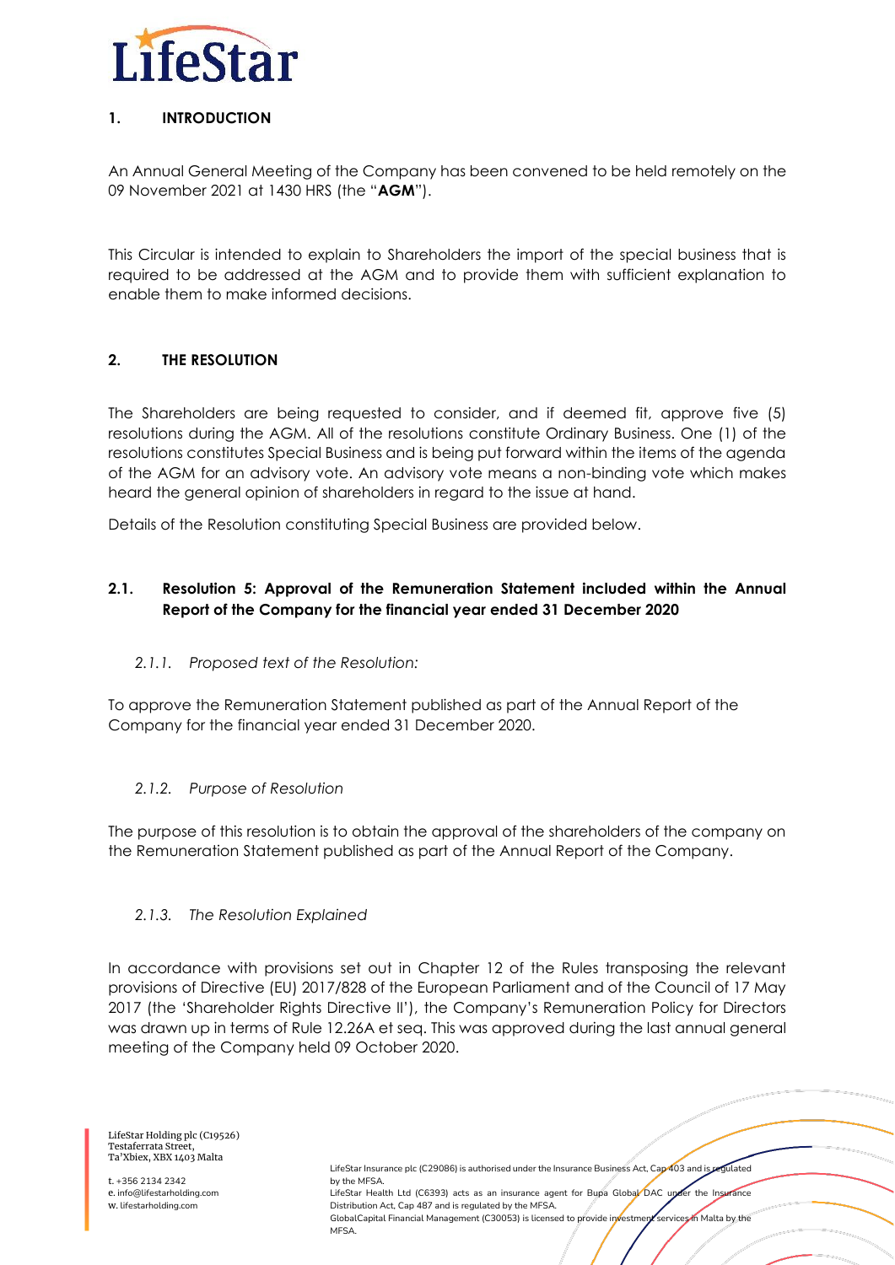

# **1. INTRODUCTION**

An Annual General Meeting of the Company has been convened to be held remotely on the 09 November 2021 at 1430 HRS (the "**AGM**").

This Circular is intended to explain to Shareholders the import of the special business that is required to be addressed at the AGM and to provide them with sufficient explanation to enable them to make informed decisions.

# **2. THE RESOLUTION**

The Shareholders are being requested to consider, and if deemed fit, approve five (5) resolutions during the AGM. All of the resolutions constitute Ordinary Business. One (1) of the resolutions constitutes Special Business and is being put forward within the items of the agenda of the AGM for an advisory vote. An advisory vote means a non-binding vote which makes heard the general opinion of shareholders in regard to the issue at hand.

Details of the Resolution constituting Special Business are provided below.

# **2.1. Resolution 5: Approval of the Remuneration Statement included within the Annual Report of the Company for the financial year ended 31 December 2020**

## *2.1.1. Proposed text of the Resolution:*

To approve the Remuneration Statement published as part of the Annual Report of the Company for the financial year ended 31 December 2020.

## *2.1.2. Purpose of Resolution*

The purpose of this resolution is to obtain the approval of the shareholders of the company on the Remuneration Statement published as part of the Annual Report of the Company.

## *2.1.3. The Resolution Explained*

In accordance with provisions set out in Chapter 12 of the Rules transposing the relevant provisions of Directive (EU) 2017/828 of the European Parliament and of the Council of 17 May 2017 (the 'Shareholder Rights Directive II'), the Company's Remuneration Policy for Directors was drawn up in terms of Rule 12.26A et seq. This was approved during the last annual general meeting of the Company held 09 October 2020.

LifeStar Holding plc (C19526) Testaferrata Street, Ta'Xbiex, XBX 1403 Malta

t. +356 2134 2342 e. info@lifestarholding.com w. lifestarholding.com

LifeStar Insurance plc (C29086) is authorised under the Insurance Business Act, Cap 403 and is regulated by the MFSA. LifeStar Health Ltd (C6393) acts as an insurance agent for Bupa Global DAC under the Insurance Distribution Act, Cap 487 and is regulated by the MFSA. GlobalCapital Financial Management (C30053) is licensed to provide investment services in Malta by the M<sub>FS</sub>A